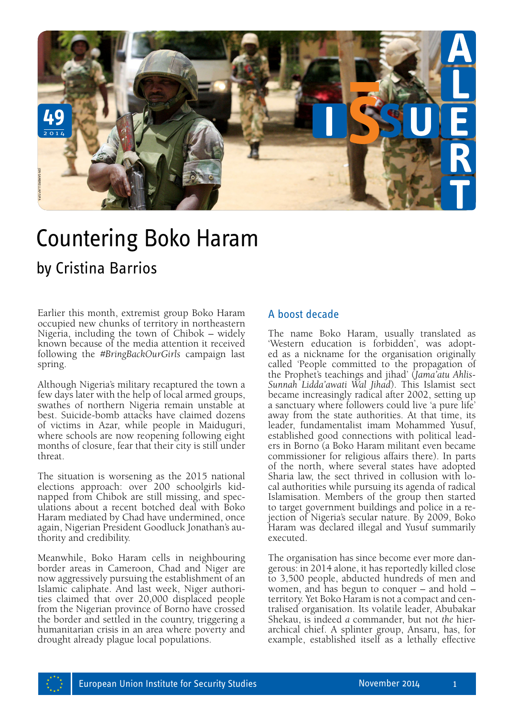

## Countering Boko Haram

Earlier this month, extremist group Boko Haram occupied new chunks of territory in northeastern Nigeria, including the town of Chibok – widely known because of the media attention it received following the *#BringBackOurGirls* campaign last spring.

Although Nigeria's military recaptured the town a few days later with the help of local armed groups, swathes of northern Nigeria remain unstable at best. Suicide-bomb attacks have claimed dozens of victims in Azar, while people in Maiduguri, where schools are now reopening following eight months of closure, fear that their city is still under threat.

The situation is worsening as the 2015 national elections approach: over 200 schoolgirls kidnapped from Chibok are still missing, and speculations about a recent botched deal with Boko Haram mediated by Chad have undermined, once again, Nigerian President Goodluck Jonathan's authority and credibility.

Meanwhile, Boko Haram cells in neighbouring border areas in Cameroon, Chad and Niger are now aggressively pursuing the establishment of an Islamic caliphate. And last week, Niger authorities claimed that over 20,000 displaced people from the Nigerian province of Borno have crossed the border and settled in the country, triggering a humanitarian crisis in an area where poverty and drought already plague local populations.

## A boost decade

The name Boko Haram, usually translated as 'Western education is forbidden', was adopted as a nickname for the organisation originally called 'People committed to the propagation of the Prophet's teachings and jihad' (*Jama'atu Ahlis-Sunnah Lidda'awati Wal Jihad*). This Islamist sect became increasingly radical after 2002, setting up a sanctuary where followers could live 'a pure life' away from the state authorities. At that time, its leader, fundamentalist imam Mohammed Yusuf, established good connections with political lead- ers in Borno (a Boko Haram militant even became commissioner for religious affairs there). In parts of the north, where several states have adopted Sharia law, the sect thrived in collusion with lo- cal authorities while pursuing its agenda of radical Islamisation. Members of the group then started to target government buildings and police in a re- jection of Nigeria's secular nature. By 2009, Boko Haram was declared illegal and Yusuf summarily executed.

The organisation has since become ever more dangerous: in 2014 alone, it has reportedly killed close to 3,500 people, abducted hundreds of men and women, and has begun to conquer – and hold – territory. Yet Boko Haram is not a compact and centralised organisation. Its volatile leader, Abubakar Shekau, is indeed *a* commander, but not *the* hierarchical chief. A splinter group, Ansaru, has, for example, established itself as a lethally effective